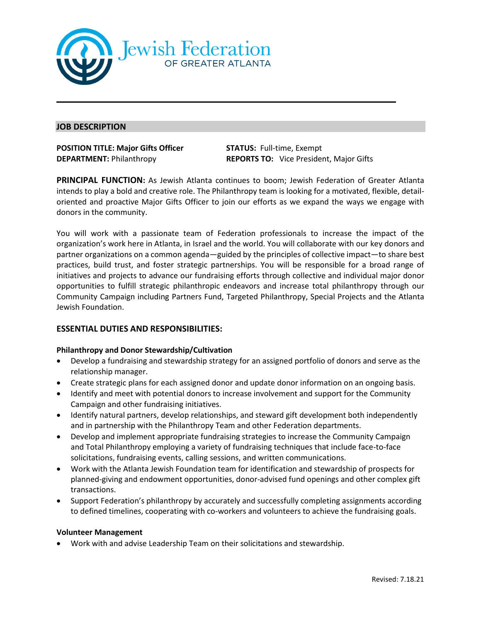

## **JOB DESCRIPTION**

# **POSITION TITLE: Major Gifts Officer STATUS:** Full-time, Exempt

**DEPARTMENT:** Philanthropy **REPORTS TO:** Vice President, Major Gifts

**PRINCIPAL FUNCTION:** As Jewish Atlanta continues to boom; Jewish Federation of Greater Atlanta intends to play a bold and creative role. The Philanthropy team is looking for a motivated, flexible, detailoriented and proactive Major Gifts Officer to join our efforts as we expand the ways we engage with donors in the community.

You will work with a passionate team of Federation professionals to increase the impact of the organization's work here in Atlanta, in Israel and the world. You will collaborate with our key donors and partner organizations on a common agenda—guided by the principles of collective impact—to share best practices, build trust, and foster strategic partnerships. You will be responsible for a broad range of initiatives and projects to advance our fundraising efforts through collective and individual major donor opportunities to fulfill strategic philanthropic endeavors and increase total philanthropy through our Community Campaign including Partners Fund, Targeted Philanthropy, Special Projects and the Atlanta Jewish Foundation.

# **ESSENTIAL DUTIES AND RESPONSIBILITIES:**

#### **Philanthropy and Donor Stewardship/Cultivation**

- Develop a fundraising and stewardship strategy for an assigned portfolio of donors and serve as the relationship manager.
- Create strategic plans for each assigned donor and update donor information on an ongoing basis.
- Identify and meet with potential donors to increase involvement and support for the Community Campaign and other fundraising initiatives.
- Identify natural partners, develop relationships, and steward gift development both independently and in partnership with the Philanthropy Team and other Federation departments.
- Develop and implement appropriate fundraising strategies to increase the Community Campaign and Total Philanthropy employing a variety of fundraising techniques that include face-to-face solicitations, fundraising events, calling sessions, and written communications.
- Work with the Atlanta Jewish Foundation team for identification and stewardship of prospects for planned-giving and endowment opportunities, donor-advised fund openings and other complex gift transactions.
- Support Federation's philanthropy by accurately and successfully completing assignments according to defined timelines, cooperating with co-workers and volunteers to achieve the fundraising goals.

#### **Volunteer Management**

• Work with and advise Leadership Team on their solicitations and stewardship.